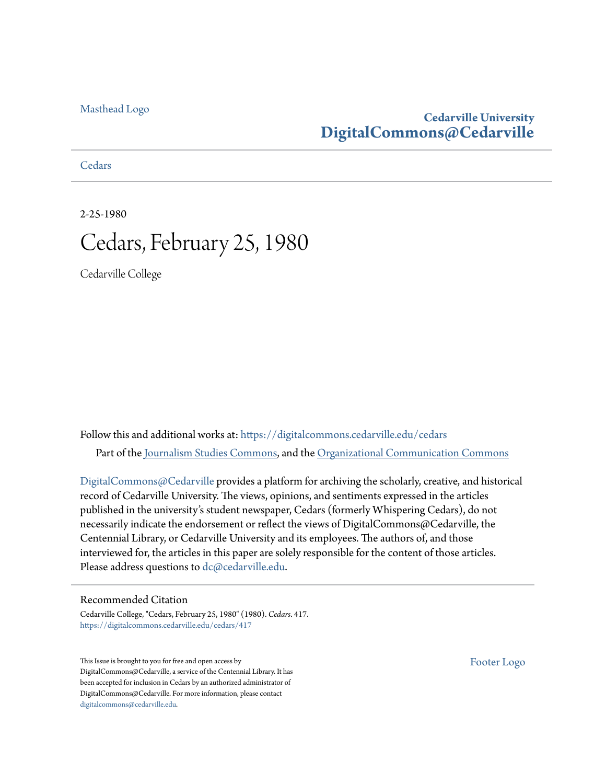#### [Masthead Logo](http://www.cedarville.edu/?utm_source=digitalcommons.cedarville.edu%2Fcedars%2F417&utm_medium=PDF&utm_campaign=PDFCoverPages)

#### **Cedarville University [DigitalCommons@Cedarville](https://digitalcommons.cedarville.edu?utm_source=digitalcommons.cedarville.edu%2Fcedars%2F417&utm_medium=PDF&utm_campaign=PDFCoverPages)**

**[Cedars](https://digitalcommons.cedarville.edu/cedars?utm_source=digitalcommons.cedarville.edu%2Fcedars%2F417&utm_medium=PDF&utm_campaign=PDFCoverPages)** 

#### 2-25-1980 Cedars, February 25, 1980

Cedarville College

Follow this and additional works at: [https://digitalcommons.cedarville.edu/cedars](https://digitalcommons.cedarville.edu/cedars?utm_source=digitalcommons.cedarville.edu%2Fcedars%2F417&utm_medium=PDF&utm_campaign=PDFCoverPages) Part of the [Journalism Studies Commons](http://network.bepress.com/hgg/discipline/333?utm_source=digitalcommons.cedarville.edu%2Fcedars%2F417&utm_medium=PDF&utm_campaign=PDFCoverPages), and the [Organizational Communication Commons](http://network.bepress.com/hgg/discipline/335?utm_source=digitalcommons.cedarville.edu%2Fcedars%2F417&utm_medium=PDF&utm_campaign=PDFCoverPages)

[DigitalCommons@Cedarville](http://digitalcommons.cedarville.edu/) provides a platform for archiving the scholarly, creative, and historical record of Cedarville University. The views, opinions, and sentiments expressed in the articles published in the university's student newspaper, Cedars (formerly Whispering Cedars), do not necessarily indicate the endorsement or reflect the views of DigitalCommons@Cedarville, the Centennial Library, or Cedarville University and its employees. The authors of, and those interviewed for, the articles in this paper are solely responsible for the content of those articles. Please address questions to [dc@cedarville.edu.](mailto:dc@cedarville.edu)

#### Recommended Citation

Cedarville College, "Cedars, February 25, 1980" (1980). *Cedars*. 417. [https://digitalcommons.cedarville.edu/cedars/417](https://digitalcommons.cedarville.edu/cedars/417?utm_source=digitalcommons.cedarville.edu%2Fcedars%2F417&utm_medium=PDF&utm_campaign=PDFCoverPages)

This Issue is brought to you for free and open access by DigitalCommons@Cedarville, a service of the Centennial Library. It has been accepted for inclusion in Cedars by an authorized administrator of DigitalCommons@Cedarville. For more information, please contact [digitalcommons@cedarville.edu](mailto:digitalcommons@cedarville.edu).

[Footer Logo](http://www.cedarville.edu/Academics/Library.aspx?utm_source=digitalcommons.cedarville.edu%2Fcedars%2F417&utm_medium=PDF&utm_campaign=PDFCoverPages)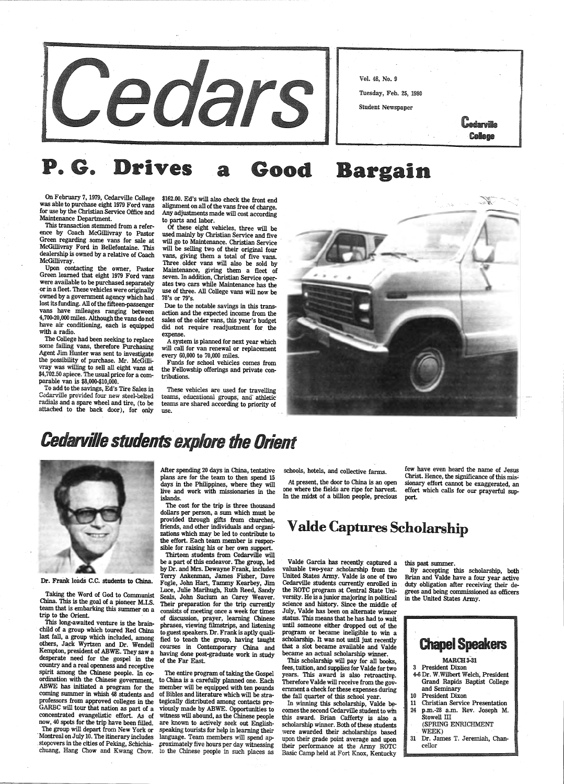On February 7, 1979, Cedarville College was able to purchase eight 1979 Ford vans for use by the Christian Service Office and Maintenance Department.

This transaction stemmed from a reference by Coach McGillivray to Pastor Green regarding some vans for sale at McGillivray Ford in Bellefontaine. This dealership is owned by a relative of Coach McGillivray.

Upon contacting the owner, Pastor Green learned that eight 1979 Ford vans were available to be purchased separately or in a fleet. These vehicles were originally owned by a government agency which had lost its funding. All of the fifteen-passenger vans have mileages ranging between 4,700-20,000 miles. Although the vans do not have air conditioning, each is equipped with a radio.

 The College had been seeking to replace some failing vans, therefore Purchasing Agent Jim Hunter was sent to investigate the possibility of purchase. Mr. McGilli-<br>vray was willing to sell all eight vans at \$4,702.50 apiece. The usual price for a comparable van is \$8,000-\$10,000.

To add to the savings, Ed's Tire Sales in Cedarville provided four new steel-belted radials and <sup>a</sup>spare wheel and tire, (to be attached to the back door), for only



Dr. Frank leads c.c. students to China.

Taking the Word of God to Communist China. This is the goal of a pioneer M.I.S. team that is embarking this summer on a

Of these eight vehicles, three will be used mainly by Christian Service and five will go to Maintenance. Christian Service will be selling two of their original four vans, giving them a total of five vans. Three . older vans will also be sold by Maintenance, giving them a fleet of seven. In addition, Christian Service operates two cars while Maintenance has the use of three. All College vans will now be 78's or 79's.

These vehicles are used for travelling teams, educational groups, and athletic teams are shared according to priority of use.



## **Cedarville students explore the Orient**

This long-awaited venture is the brainchild of a group which toured Red China last fall, a group which included, among others, Jack Wyrtzen and Dr. Wendell Kempton, president of ABWE. They saw <sup>a</sup> desperate need for the gospel in the country and a real openness and receptive spirit among the Chinese people. In coordination with the Chinese government, ABWE has initiated a program for the coming summer in whish 48 students and professors from approved colleges in the GARBC will tour that nation as part of a concentrated evangelistic effort. As of now, 40 spots for the trip have been filled. The group will depart from New York or

· Montreal on July 10. The itinerary includes . stopovers in the cities of Peking, Schichiachuang, Hang Chow and Kwang Chow.



#### . G. Driv Good Bargain

\$162.00. Ed's will also check the front end alignment on all of the vans free of charge. Any adjustments made will cost according to parts and labor.

> few have even heard the name of Jesus Christ. Hence, the significance of this mis~ sionary effort cannot be exaggerated, an effort which calls for our prayerful sup-

Due to the notable savings in this transaction and the expected income from the sales of the older vans, this year's budget did not require readjustment for the expense.

<sup>A</sup>system is planned for next year which will call for van renewal or replacement every 60,000 to 70,000 miles.

Funds for school vehicles comes from the Fellowship offerings and private contributions.

> By accepting this scholarship, both Brian and Valde have a four year active duty obligation after receiving their degrees and being commissioned as officers in the United States Army.

trip to the Orient.

After spending 20 days in China, tentative <sup>p</sup>lans are for the team to then spend <sup>15</sup> days in the Philippines, where they will live and work with missionaries in the islands.

The cost for the trip is three thousand dollars per person, a sum which must be provided through gifts from churches, friends, and other individuals and organizations which may be led to contribute to the effort. Each team member is respon sible for raising his or her own support.

Thirteen students from Cedarville will be a part of this endeavor. The group, led by Dr. and Mrs. Dewayne Frank, includes Terry Ankenman, James Fisher, Dave Fogle, John Hart, Tammy Kearbey, Jim Seals, John Sucium an Carey Weaver. Their preparation for the trip currently consists of meeting once a week for times of discussion, prayer, learning Chinese <sup>p</sup>hrases, viewing filmstrips, and listening to guest speakers. Dr. Frank is aptly qualified to teach the group, having taught courses in Contemporary China and having done post-graduate work in study of the Far East.

The entire program of taking the Gospel to China is a carefully planned one. Each member will be equipped with ten pounds of Bibles and literature which will be strategically distributed among contacts previously made by ABWE. Opportunities to witness will abound, as the Chinese people are known to actively seek out English- .speaking tourists for help in learning their language. Team members will spend ap- .proximately five hours per day witnessing to the Chinese people in such places as

schools, hotels, and collective farms.

At present, the door to China is an open one where the fields are ripe for harvest. In the midst of a billion people, precious

#### <sup>V</sup>aide Captures Scholarship

Valde Garcia has recently: captured a valuable two-year scholarship from the United States Army. Valde is one of two Cedarville students currently enrolled in the ROTC program at Central State University. He is a junior majoring in political science and history. Since· the middle of July, Valde has been on alternate v status. This means that he has had to wait· until someone either dropped out of the program or became ineligible to win <sup>a</sup> scholarship. It was not until just recently that a slot became available and Valde became an actual scholarship winner. This scholarship will pay for all books, fees, tuition, and supplies for Valde for two years. This award is also retroactive. Therefore Valde will receive from the government a check for these expenses during the fall quarter of this school year. In winning this scholarship, Valde becomes the second Cedarville student to win this award. Brian Cafferty is also a scholarship winner. Both of these students .were awarded their .scholarships based upon their grade point average and upon their performance at the Army ROTC Basic Camp held at Fort Knox, Kentucky

this past summer.

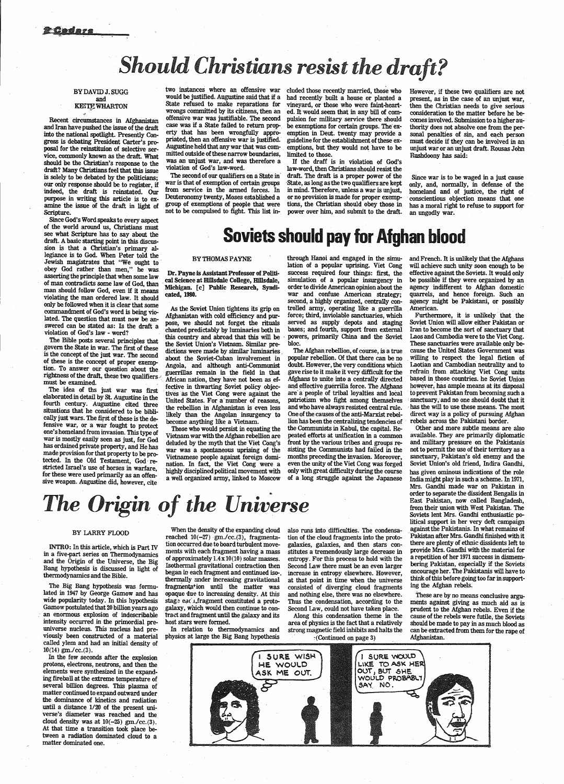# *Should Christians resist the draft?*

#### BY DAVID J. SUGG and **KETTE WHARTON**

Recent circumstances in Afghanistan and Iran have pushed the issue of the draft into the national spotlight. Presently Congress is debating President Carter's proposal for the reinstituion of selective service, commonly known as the draft. What should be the Christian's response to the draft? Many Christians feel that this issue is solely to be debated by the politicians; our only response should be to register, if indeed, the draft is reinstated. Our purpose in writing this article is to examine the issue of the draft in light of Scripture.

- two instances where an offensive war eluded those recently married, those who However, if these two qualifiers are not would be justified. Augustine said that if a had recently built a house or planted a State refused to make reparations for vineyard, or those who were faint-heart-wrongs committed by its citizens, then an ed. It would seem wrongs committed by its citizens, then an ed. It would seem that in any bill of com-<br>offensive war was justifiable. The second pulsion for military service there should<br>case was if a State failed to return prop- be exempti case was if a State failed to return prop-<br>be exemptions for certain groups. The ex-<br>erty that has been wrongfully appro- emption in Deut. twenty may provide a priated, then an offensive war is justified. guideline for the establishment of these ex-<br>Augustine held that any war that was com-emptions, but they would not have to be mitted outside of these narrow boundaries, limited to those. was an unjust war, and was therefore a If the draff is in violation of God's

The second of our qualifiers on a State in in draft. The draft is a proper power of the war is that of exemption of certain groups State, as long as the two qualifiers are kept from service in the armed forces. In in mind. Therefore, unless a war is unjust, Deuteronomy twenty, Moses established a or no provision is made for proper exemp-Deuteronomy twenty, Moses established a group of exemptions of people that were

emptions, but they would not have to be

violation of God's law-word.<br>
The second of our qualifiers on a State in draft. The draft is a proper power of the group of exemptions of people that were tions, the Christian should obey those in not to be compulsed to fight. This list in-<br>power over him, and submit to the draft. power over him, and submit to the draft.

present, as in the case of an unjust war, then the Christian needs to give serious consideration to the matter before he becomes involved. Submission to a higher authority does not absolve one from the personal penalties of sin, and each person must decide if they can be involved in an unjust war or an unjust draft. Rousas John Rushdoony has said:

Since war is to be waged in a just cause only, and, normally, in defense of the homeland and of justice, the right of -conscientious objection means that one has a moral right to refuse to support for an ungodly war.

# see what Scripture has to say about the<br>draft. A basic starting point in this discus-<br>sion is that a Christian's primary al-<br>legiance is to God. When Peter told the

Afghanistan with cold efficiency and pur-<br>pose, we should not forget the rituals served as supply depots and staging pose, we should not forget the rituals served as supply depots and staging chanted predictably by luminaries both in bases; and fourth, support from external this country and abroad that this will be powers, primarily Chin the Soviet Union's Vietnam. Similar pre-<br>dictions were made by similar luminaries about the Soviet-Cuban involvement in popular rebellion. Of that there can be no<br>Angola, and although anti-Communist doubt. However, the very conditions which Angola, and although anti-Communist doubt. However, the very conditions which guerrillas remain in the field in that gave rise to it make it very difficult for the African nation, they have not been as ef-<br>Afghans to unite African nation, they have not been as ef-<br>
Afghans to unite into a centrally directed<br>
fective in thwarting Soviet policy objec-<br>
and effective guerrilla force. The Afghans fives as the Viet Cong were against the are a people of tribal loyalties and local United States. For a number of reasons, patriotism who fight among themselves United States. For a number of reasons, patriotism who fight among themselves the rebellion in Afghanistan is even less and who have always resisted central rule. likely than the Angolan insurgency to One of the causes of likely than the Angolan insurgency to become anything like a Vietnam.

Vietnam war with the Afghan rebellion are peated efforts at unification in a common deluded by the myth that the Viet Cong's front by the various tribes and groups re-<br>war was a spontaneous uprising of the sisting the Communists had failed in the war was a spontaneous uprising of the sisting the Communists had failed in the Vietnamese people against foreign domi- months preceding the invasion. Moreover, Vietnamese people against foreign domination. months preceding the invasion. Moreover, nation. In fact, the Viet Cong were a even the unity of the Viet Cong was forged highly disciplined political movement with only with g

Since God's Word speaks to every aspect of the world around us, Christians must see what Scripture has to say about the draft. A basic starting point in this discussion is that a Christian's primary al-BY THOMAS PAYNE<br>Jewish magistrates that "We ought to<br>obey God rather than men," he was obey God rather than men, he was **Dr. Payne is Assistant Professor of Politi-**<br>asserting the principle that when some law cal Science at Hillsdale College, Hillsdale, of man contradicts some law of God, than cal Science at Hillsdale College, Hillsdale, man should follow God, even if it means Michigan. [c] Public Research, Syndiviolating the man ordered law. It should<br>only be followed when it is clear that some<br>only be followed when it is clear that some<br>as the Soviet Union tightens its grip on trolled army, operating like a guerrilla<br>commondment commandment of God's word is being violated. The question that must now be answered can be stated as: Is the draft a violation of God's law - word?

through Hanoi and engaged in the simulation of a popular uprising. Viet Cong success required four things: first, the simulation of a popular insurgency in order to divide American opinion about the war and confuse American strategy;

The Afghan rebellion, of course, is a true<br>popular rebellion. Of that there can be no become anything like a Vietnam. lion has been the centralizing tendencies of Those who would persist in equating the the Communists in Kabul, the capital. Reof a long struggle against the Japanese

The Bible posts several principles that govern the State in war. The first of these is the concept of the just war. The second of these is the concept of proper exemption. To answer our question about the. rightness of the draft, these two qualifiers. must be examined.

The idea of tbs just war was first elaborated in detail by St. Augustine in the fourth century. Augustine cited three situations that he considered to be biblically just wars. The first of these is the defensive war, or a war fought to protect one's homeland from invasion. This type of war is mostly easily seen as just, for God has ordained private property, and He has made provision for that property to be protected. In the Old Testament, God restricted Israel's use of horses in warfare, for these were used primarily as an offensive weapon. Augustine did, however, cite

# *The Origin of the Universe*

#### BY LARRY FLOOD

INTRO: In this article, which is Part IV in a five-part series on Thermodynamics and the Origin of the Universe, the Big Bang hypothesis is discussed in light of thermodynamics and the Bible.

When the density of the expanding cloud reached  $10(-27)$  gm./cc.(3), fragmentation occurred due to board turbulent movements with each fragment having a mass of approximately  $1.4 \times 10(10)$  solar masses. Isothermal gravitational contraction then began in each fragment and continued iso-. thermally under increasing gravitational fragmenta<sup>t</sup>ion until the matter was opaque due to increasing density. At this stage each fragment constituted a protogalaxy, which would then continue to con-

tract and fragment until the galaxy and its host stars were formed.

In relation to thermodynamics and

also runs into difficulties. The condensation of the cloud fragments into the protogalaxies, galaxies, and then stars constitutes a tremendously large decrease in entropy. For this process to hold with the Second Law there must be an even larger increase in entropy elsewhere. However, at that point in time when the universe consisted of diverging cloud fragments and nothing else, there was no elsewhere. Thus the condensation, according to the Second Law, could not have taken place.

Along this condensation theme in the area of physics is the fact that a relatively strong magnetic field inhibits and halts the :(Continued on page 3)

and French. It is unlikely that the Afghans will achieve such unity soon enough to be effective against the Soviets. It would only be possible if they were organized by an agency indifferent to Afghan domestic quarrels, and hence foreign. Such an agency might be Pakistani, or possibly .American.

Furthermore, it is unlikely that the Soviet Union will allow either Pakistan or Iran to become the sort of sanctuary that Laos and Cambodia were to the Viet Cong. These sanctuaries were available only because the United States Government was . willing to respect the legal fiction of Laotian and Cambodian neutrality and to refrain from attacking Viet Cong units based in those countries. he Soviet Union however, has ample means at its disposal<br>to prevent Pakistan from becoming such a sanctuary, and no one should doubt that it has the will to use these means. The most direct way is a policy of pursuing Afghan rebels across the Pakistani border.

The Big Bang hypothesis was formulated in 1947 by George Gamow and has wide popularity today. In this hypothesis Gamow postulated that 20 billion years ago an enormous explosion of indescribable intensity occurred in the primordial preuniverse nucleus. This nucleus had previously been constructed of a material called ylem and had an initial density of 10(14) gm./cc.(3). In the few seconds after the explosion protons, electrons, neutrons, and then the elements were synthesized in the expanding fireball at the extreme temperature of several billion degrees. This plasma of matter continued to expand outward under the dominance of kinetics and radiation until a distance 1/20 of the present universe's diameter was reached and the cloud density was at  $10(-25)$  gm./cc.(3). At that time a transition took place between a radiation dominated cloud to <sup>a</sup> matter dominated one.



Other and more subtle means are also available. They are primarily diplomatic and military pressure on the Pakistanis not to permit the use of their territory as <sup>a</sup> sanctuary, Pakistan's old enemy and the Soviet Union's old friend, Indira Gandhi, has given ominous indications of the role India might play in such a scheme. In 1971, Mrs. Gandhi made war on Pakistan in order to separate the dissident Bengalis in East Pakistan, now called Bangladesh, from their union with West Pakistan. The Soviets lent Mrs. Gandhi enthusiastic political support in her very deft campaign against the Pakistanis. In what remains of Pakistan after Mrs. Gandhi finished with it there are plenty of ethnic dissidents left to provide Mrs. Gandhi with the material for a repetition of her 1971 success in dismembering Pakistan, especially if the Soviets encourage her. The Pakistanis will have to think of this before going too far in supporting the Afghan rebels.

#### These are by no means conclusive arguments against giving as much aid as is prudent to the Afghan rebels. Even if the

cause of the rebels were futile, the Soviets should be made to pay in as much blood as can be extracted from them for the rape of Afghanistan.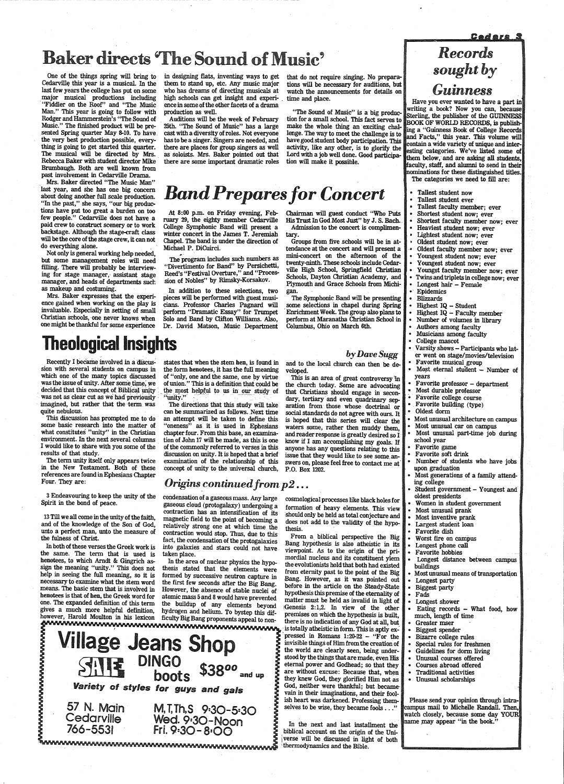<u> Cedars</u>

# Baker directs 'The Sound of Music'

One of the things spring will bring to Cedarville this year is a musical. In the last few years the college has put on some major musical productions including · "Fiddler on the Roof" and "The Music Man." This year is going to follow with Rodger and Hammerstein's "The Sound of Music." The finished product will be presented Spring quarter May 8-10. To have. the very best production possible, everything is going to get started this quarter. The musical will be directed by Mrs. Rebecca Baker with student director Mike Brumbaugh. Both are well known from past involvement in Cedarville Drama.

in designing flats, inventing ways to get that do not require singing. No prepara-<br>them to stand up, etc. Any music major tions will be necessary for auditions, but high schools can get insight and experi- time and place. ence in some of the other facets of a drama production as well.

Mrs. Baker directed "The Music Man" last year, and she has one big concern about doing another full scale production. "In the past," she says, "our big productions have put too great a burden on too few people." Cedarville does not have a paid crew to construct scenery or to work backstage. Although the stage-craft class will be the core of the stage crew, it can not do everything alone.

Auditions will be the week of February 25th. "The Sound of Music" has a large cast with a diversity of roles. Not everyone has to be a singer: Singers are needed, and there are places for group singers as well as soloists. Mrs. Baker pointed out that there are some important dramatic roles

them to stand up, etc. Any music major tions will be necessary for auditions, but who has dreams of directing musicals at watch the announcements for details on watch the announcements for details on

The program includes such numbers as "Divertimento for Band" by Persichetti, Reed's "Festival Overture," and "Procession of Nobles" by Rimsky-Korsakov.

"The Sound of Music" is a big production for a small school. This fact serves to make the whole thing an exciting challenge. The way to meet the challenge is to have good student body participation. This activity, like any other, is to glorify the Lord with a job well done. Good participation will make it possible.

# *Band Prepares for Concert*

Not only is general working help needed, but some management roles will need filling. There will probably be interviewing for stage manager, assistant stage manager, and heads of departments such as makeup and costuming.

Mrs. Baker expresses that the experience gained when working on the play is invaluable. Especially in setting of small Christian schools, one never knows when one might be thankful for some experience

At 8:00 p.m. on Friday evening, February 29, the eighty member Cedarville College Symphonic Band will present a winter concert in the James T. Jeremiah Chapel. The band is under the direction of Michael P. DiCuirci.

In addition to these selections, two pieces will be performed with guest musicians. Professor Charles Pagnard will ·perform "Dramatic Essay" for Trumpet Solo and Band by Clifton Williams. Also, Dr. David Matson, Music Department

# Theological Insights

Recently I became involved in a discus-<br>states that when the stem hen, is found in<br>sion with several students on campus in<br>the form henotees, it has the full meaning sion with several students on campus in the form henotees, it has the full meaning<br>which one of the many topics discussed of "only, one and the same, one by virtue which one of the many topics discussed of "only, one and the same, one by virtue was the issue of unity. After some time, we of union." This is a definition that could be was the issue of unity. After some time, we of union." This is a definition that could be decided that this concept of Biblical unity the most helpful to us in our study of was not as clear cut as we had previously imagined, but rather that the term was The directions that this study will take quite nebulous.  $\frac{1}{100}$  can be summarized as follows. Next time

This discussion has prompted me to do an attempt will be taken to define this some basic research into the matter of "oneness" as it is used in Ephesians some basic research into the matter of "oneness" as it is used in Ephesians what constitutes "unity" in the Christian chapter four. From this base, an examinawhat constitutes "unity" in the Christian chapter four. From this base, an examina-<br>environment. In the next several columns tion of John 17 will be made, as this is one environment. In the next several columns tion of John 17 will be made, as this is one I would like to share with you some of the orther commonly referred to verses in this I would like to share with you some of the of the commonly referred to verses in this results of that study.

> 57 N. Main Cedarville 766-5531 M, I, Th, S 9:30-5:30 Wed. 9:30-Noon  $\begin{array}{cc} \bullet & \bullet & \bullet \\ \bullet & \bullet & \bullet \end{array}$  in the next and last installment the  $\begin{array}{cc} \bullet & \bullet & \bullet \\ \bullet & \bullet & \bullet \end{array}$  biblical account on the origin of the Uni-

Chairman will guest conduct "Who Puts His Trust In God Most Just" by J. S. Bach. Admission to the concert is complimentary.

- 
- Fallest student now<br>• Tallest student ever<br>• Tallest faculty member; ever
- 
- 
- Shortest student now; ever<br>Shortest faculty member now; ever<br>Heaviest student now; ever
- 
- Lightest student now; ever Oldest student now; ever
- 
- Oldest faculty member now; ever<br>Youngest student now; ever
- 
- 
- Youngest student now; ever Youngest student now; ever Youngst faculty member now; ever
- Twins and triplets in college now; ever
- Longest hair Female
- 
- 
- 
- Blizzards<br>• Highest IQ Student<br>• Highest IQ Faculty member<br>• Number of volumes in library
- 
- 
- 
- 
- Authors among faculty<br>• Musicians among faculty<br>• College mascot<br>• Varsity shows Participants who lat-<br>• er went on stage/movies/television
- 
- Favorite musical group<br>Most eternal student Number of
- years<br>• Favorite professor department<br>• Most durable professor
- 
- 
- 
- -
	-
- Favorite college course<br>Favorite building (type)<br>Oldest dorm<br>Most unusual architecture on campus<br>Most unusual car on campus<br>Most unusual part-time job during<br>school year
- -
	- Favorite game<br>• Favorite soft drink<br>• Number of students who have jobs<br>upon graduation<br>• Most generations of a family attend-<br>ing college
	-
	-
	- ing college<br>
	 Student government Youngest and<br>
	 Women in student government<br>
	 Wonst unusual prank<br>
	 Most inventive prank<br>
	 Most inventive prank<br>
	 Largest student loan<br>
	 Favorite dish<br>
	 Worst fire on campus<br>
	 Lon
	-
	-
	-
	-
	-
	-
- 
- 
- 
- 
- 
- Biggest party • Fads
- 

• Longest shower<br>• Eating records – What food, how<br>much, length of time<br>• Greater mser • Biggest spender<br>• Bizarre college rules<br>• Special rules for freshmen<br>• Guidelines for dorm living<br>• Unusual courses offered<br>• Courses abroad offered<br>• Traditional activities<br>• Unusual scholarships<br>• Please send your opin

Groups from five .schools will be in attendance at the concert and will present a mini~oncert on the afternoon of the twenty-ninth. These schools include Cedarville High School, Springfield Christian Schools, Dayton Christian Academy, and Plymouth and Grace Schools from Michigan.

> campus mail to Michelle Randall. Then, watch closely, because some day YOUR name may appear "in the book."

The Symphonic Band will be presenting some selections in chapel during Spring · Enrichment Week. The group also plans to perform at Maranatha Christian School in Columbus, Ohio on March 6th.

#### *by Dave Sugg*

and to the local church can then be de-

veloped.

the church today. Some are advocating that Christians should engage in secondary, tertiary and even quadrinary separation from· those whose doctrinal or social standards do not agree with ours. It is hoped that this series will clear the waters some, rather then muddy them, and reader response is greatly desired so I· know if I am accomplishing my goals. If anyone has any questions relating to this issue that they would like to see some.answers on, please feel free to contact me af P.O. Box 1202.

# This is an area of great controversy in

cosmological processes like black holes for formation of heavy elements. This view should only be held as total conjecture and

does not add to the validity of the hypo-

thesis. From a biblical perspective the Big Bang hypothesis is also atheistic in its viewpoint. As to the origin of the primordial nucleus and its constituent ylem the evolutionists hold that both had existed from eternity past to the point of the Big Bang. However, as it was pointed out before in the article on the Steady-State hypothesis this premise of the eternality of matter must be held as invalid in light of Genesis 2:1,2. In view of the other premises on which the hypothesis is built, there is no indication of any God at all, but is totally atheistic in form. This is aptly expressed in Romans 1:20-22 - "For the invisible things of Him from the creation of the world are clearly seen, being understood by the things that are made, even His eternal power and Godhead; so that they are without excuse: Because that, when they knew God, they glorified Him not as God, neither were thankful; but became vain in their imaginations, and their foolish heart was darkened. Professing themselves to be wise, they became fools . . ."

references are found in Ephesians Chapter

#### Four. They are: *Origins continued from* p2 ...

3 Endeavouring to keep the unity of the Spirit in the bond of peace.

13 Till we all come in the unity of the faith, and of the knowledge of the Son of God, unto a perfect man, unto the measure of the fulness of Christ.

In both of these verses the Greek work is the same. The term that is used is henotees, to which Arndt & Gingrich asmeans. The basic stem that is involved in

the most helpful to us in our study of  $\frac{m}{t}$  ...

can be summarized as follows. Next time results of that study.<br>The term unity itself only appears twice examination of the relationship of this The term unity itself only appears twice examination of the relationship of this in the New Testament. Both of these concept of unity to the universal church. concept of unity to the universal church,

sign the meaning "unity." This does not help in seeing the full meaning, so it is necessary to examine what the stem word henotees is that of hen, the Greek word for one. The expanded definition of this term gives a much more helpful definition, hydrogen and helium. To bystep this dif-<br>however, Harold Moulton in his lexicon ficulty Big Bang proponents appeal to nonhowever, Harold Moulton in his lexicon ficulty Big Bang proponents appeal to non-In the area of nuclear physics the hypothesis stated that the elements were formed by successive neutron capture in the first few seconds after the Big Bang. However, the absence of stable nuclei of atomic mass 5 and 8 would have prevented the buildup of any elements beyond hydrogen and helium. To bystep this dif-

condensation of a gaseous mass. Any large gaseous cloud (protogalaxy) undergoing a contraction has an intensification of its magnetic field to the point of becoming a relatively strong one at which time the contraction would stop. Thus, due to this fact, the condensation of the protogalaxies into galaxies and stars could not have taken place.

*Records sought by Guinness* 

Have you ever wanted to have a part in<br>writing a book? Now you can, because Sterling, the publisher of the GUINNESS BOOK OF WORLD RECORDS, is publish ing a "Guinness Book of College Records and Facts," this year. This volume will ontain a wide variety of unique and inter esting categories. We've listed some of<br>them below, and are asking all students. faculty, staff, and alumni to send in their<br>nominations for these distinguished titles. The categories we need to fill are:

<sup>i</sup>verse will be discussed in light of both ~ll'W'ii'W"aa"m"liMMM~l!.'".,,IWWWWWWWW.......,MMMMMMMl"AMM.1~ 'thermodynamics and the Bible. ,\_\_....,.....,....,....,.\_....,. ........ ..., ..................